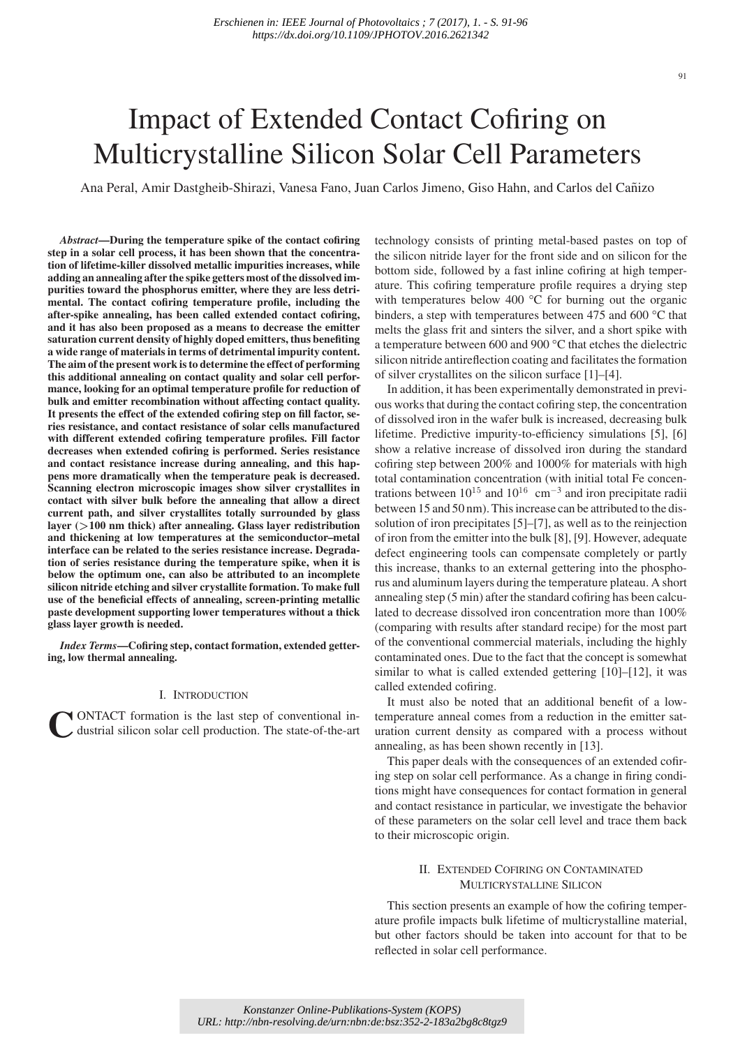# Impact of Extended Contact Cofiring on Multicrystalline Silicon Solar Cell Parameters

Ana Peral, Amir Dastgheib-Shirazi, Vanesa Fano, Juan Carlos Jimeno, Giso Hahn, and Carlos del Canizo ˜

*Abstract***—During the temperature spike of the contact cofiring step in a solar cell process, it has been shown that the concentration of lifetime-killer dissolved metallic impurities increases, while adding an annealing after the spike getters most of the dissolved impurities toward the phosphorus emitter, where they are less detrimental. The contact cofiring temperature profile, including the after-spike annealing, has been called extended contact cofiring, and it has also been proposed as a means to decrease the emitter saturation current density of highly doped emitters, thus benefiting a wide range of materials in terms of detrimental impurity content. The aim of the present work is to determine the effect of performing this additional annealing on contact quality and solar cell performance, looking for an optimal temperature profile for reduction of bulk and emitter recombination without affecting contact quality. It presents the effect of the extended cofiring step on fill factor, series resistance, and contact resistance of solar cells manufactured with different extended cofiring temperature profiles. Fill factor decreases when extended cofiring is performed. Series resistance and contact resistance increase during annealing, and this happens more dramatically when the temperature peak is decreased. Scanning electron microscopic images show silver crystallites in contact with silver bulk before the annealing that allow a direct current path, and silver crystallites totally surrounded by glass layer (***>***100 nm thick) after annealing. Glass layer redistribution and thickening at low temperatures at the semiconductor–metal interface can be related to the series resistance increase. Degradation of series resistance during the temperature spike, when it is below the optimum one, can also be attributed to an incomplete silicon nitride etching and silver crystallite formation. To make full use of the beneficial effects of annealing, screen-printing metallic paste development supporting lower temperatures without a thick glass layer growth is needed.**

*Index Terms***—Cofiring step, contact formation, extended gettering, low thermal annealing.**

#### I. INTRODUCTION

CONTACT formation is the last step of conventional in-<br>dustrial silicon solar cell production. The state-of-the-art

technology consists of printing metal-based pastes on top of the silicon nitride layer for the front side and on silicon for the bottom side, followed by a fast inline cofiring at high temperature. This cofiring temperature profile requires a drying step with temperatures below 400 °C for burning out the organic binders, a step with temperatures between 475 and 600 °C that melts the glass frit and sinters the silver, and a short spike with a temperature between 600 and 900 °C that etches the dielectric silicon nitride antireflection coating and facilitates the formation of silver crystallites on the silicon surface [1]–[4].

In addition, it has been experimentally demonstrated in previous works that during the contact cofiring step, the concentration of dissolved iron in the wafer bulk is increased, decreasing bulk lifetime. Predictive impurity-to-efficiency simulations [5], [6] show a relative increase of dissolved iron during the standard cofiring step between 200% and 1000% for materials with high total contamination concentration (with initial total Fe concentrations between  $10^{15}$  and  $10^{16}$  cm<sup>-3</sup> and iron precipitate radii between 15 and 50 nm). This increase can be attributed to the dissolution of iron precipitates [5]–[7], as well as to the reinjection of iron from the emitter into the bulk [8], [9]. However, adequate defect engineering tools can compensate completely or partly this increase, thanks to an external gettering into the phosphorus and aluminum layers during the temperature plateau. A short annealing step (5 min) after the standard cofiring has been calculated to decrease dissolved iron concentration more than 100% (comparing with results after standard recipe) for the most part of the conventional commercial materials, including the highly contaminated ones. Due to the fact that the concept is somewhat similar to what is called extended gettering [10]–[12], it was called extended cofiring.

It must also be noted that an additional benefit of a lowtemperature anneal comes from a reduction in the emitter saturation current density as compared with a process without annealing, as has been shown recently in [13].

This paper deals with the consequences of an extended cofiring step on solar cell performance. As a change in firing conditions might have consequences for contact formation in general and contact resistance in particular, we investigate the behavior of these parameters on the solar cell level and trace them back to their microscopic origin.

# II. EXTENDED COFIRING ON CONTAMINATED MULTICRYSTALLINE SILICON

This section presents an example of how the cofiring temperature profile impacts bulk lifetime of multicrystalline material, but other factors should be taken into account for that to be reflected in solar cell performance.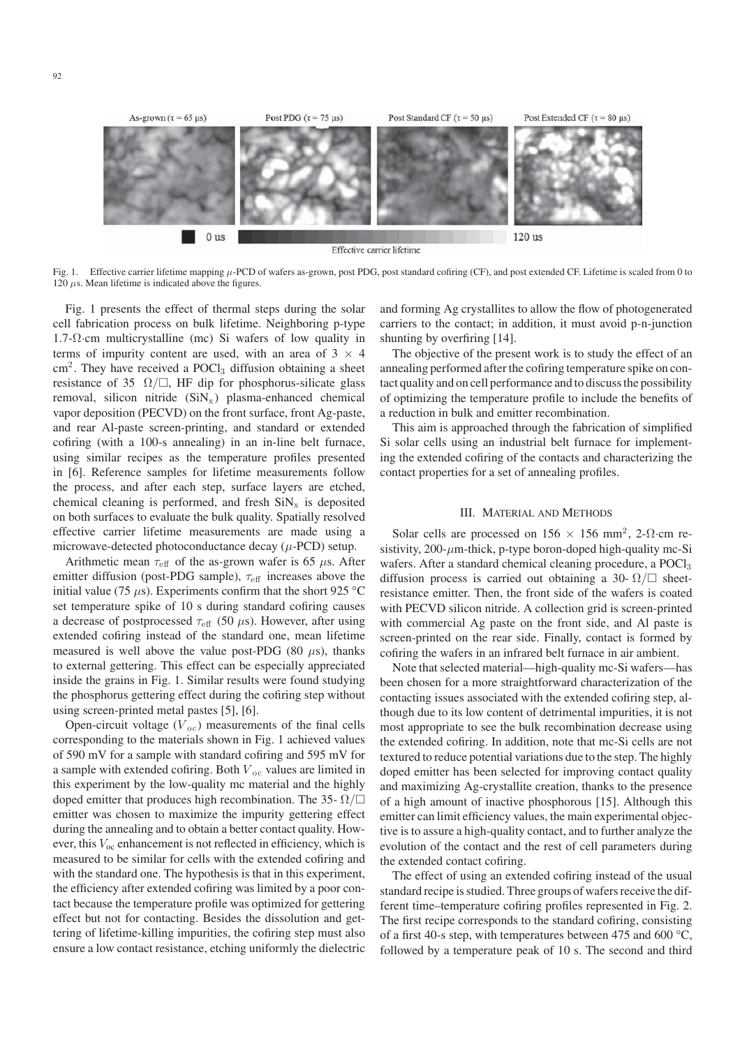

Fig. 1. Effective carrier lifetime mapping μ-PCD of wafers as-grown, post PDG, post standard cofiring (CF), and post extended CF. Lifetime is scaled from 0 to  $120 \mu s$ . Mean lifetime is indicated above the figures.

Fig. 1 presents the effect of thermal steps during the solar cell fabrication process on bulk lifetime. Neighboring p-type 1.7-Ω·cm multicrystalline (mc) Si wafers of low quality in terms of impurity content are used, with an area of  $3 \times 4$  $\text{cm}^2$ . They have received a POCl<sub>3</sub> diffusion obtaining a sheet resistance of 35  $\Omega/\square$ , HF dip for phosphorus-silicate glass removal, silicon nitride  $(SiN<sub>x</sub>)$  plasma-enhanced chemical vapor deposition (PECVD) on the front surface, front Ag-paste, and rear Al-paste screen-printing, and standard or extended cofiring (with a 100-s annealing) in an in-line belt furnace, using similar recipes as the temperature profiles presented in [6]. Reference samples for lifetime measurements follow the process, and after each step, surface layers are etched, chemical cleaning is performed, and fresh  $\text{SiN}_x$  is deposited on both surfaces to evaluate the bulk quality. Spatially resolved effective carrier lifetime measurements are made using a microwave-detected photoconductance decay  $(\mu$ -PCD) setup.

Arithmetic mean  $\tau_{\text{eff}}$  of the as-grown wafer is 65  $\mu$ s. After emitter diffusion (post-PDG sample),  $\tau_{\text{eff}}$  increases above the initial value (75  $\mu$ s). Experiments confirm that the short 925 °C set temperature spike of 10 s during standard cofiring causes a decrease of postprocessed  $\tau_{\text{eff}}$  (50  $\mu$ s). However, after using extended cofiring instead of the standard one, mean lifetime measured is well above the value post-PDG (80  $\mu$ s), thanks to external gettering. This effect can be especially appreciated inside the grains in Fig. 1. Similar results were found studying the phosphorus gettering effect during the cofiring step without using screen-printed metal pastes [5], [6].

Open-circuit voltage  $(V<sub>oc</sub>)$  measurements of the final cells corresponding to the materials shown in Fig. 1 achieved values of 590 mV for a sample with standard cofiring and 595 mV for a sample with extended cofiring. Both  $V_{\text{oc}}$  values are limited in this experiment by the low-quality mc material and the highly doped emitter that produces high recombination. The 35-  $\Omega/\square$ emitter was chosen to maximize the impurity gettering effect during the annealing and to obtain a better contact quality. However, this  $V_{\text{oc}}$  enhancement is not reflected in efficiency, which is measured to be similar for cells with the extended cofiring and with the standard one. The hypothesis is that in this experiment, the efficiency after extended cofiring was limited by a poor contact because the temperature profile was optimized for gettering effect but not for contacting. Besides the dissolution and gettering of lifetime-killing impurities, the cofiring step must also ensure a low contact resistance, etching uniformly the dielectric

and forming Ag crystallites to allow the flow of photogenerated carriers to the contact; in addition, it must avoid p-n-junction shunting by overfiring [14].

The objective of the present work is to study the effect of an annealing performed after the cofiring temperature spike on contact quality and on cell performance and to discuss the possibility of optimizing the temperature profile to include the benefits of a reduction in bulk and emitter recombination.

This aim is approached through the fabrication of simplified Si solar cells using an industrial belt furnace for implementing the extended cofiring of the contacts and characterizing the contact properties for a set of annealing profiles.

## III. MATERIAL AND METHODS

Solar cells are processed on  $156 \times 156$  mm<sup>2</sup>, 2- $\Omega$ ·cm resistivity,  $200$ - $\mu$ m-thick, p-type boron-doped high-quality mc-Si wafers. After a standard chemical cleaning procedure, a POCl<sub>3</sub> diffusion process is carried out obtaining a 30- $\Omega/\square$  sheetresistance emitter. Then, the front side of the wafers is coated with PECVD silicon nitride. A collection grid is screen-printed with commercial Ag paste on the front side, and Al paste is screen-printed on the rear side. Finally, contact is formed by cofiring the wafers in an infrared belt furnace in air ambient.

Note that selected material—high-quality mc-Si wafers—has been chosen for a more straightforward characterization of the contacting issues associated with the extended cofiring step, although due to its low content of detrimental impurities, it is not most appropriate to see the bulk recombination decrease using the extended cofiring. In addition, note that mc-Si cells are not textured to reduce potential variations due to the step. The highly doped emitter has been selected for improving contact quality and maximizing Ag-crystallite creation, thanks to the presence of a high amount of inactive phosphorous [15]. Although this emitter can limit efficiency values, the main experimental objective is to assure a high-quality contact, and to further analyze the evolution of the contact and the rest of cell parameters during the extended contact cofiring.

The effect of using an extended cofiring instead of the usual standard recipe is studied. Three groups of wafers receive the different time–temperature cofiring profiles represented in Fig. 2. The first recipe corresponds to the standard cofiring, consisting of a first 40-s step, with temperatures between 475 and 600 °C, followed by a temperature peak of 10 s. The second and third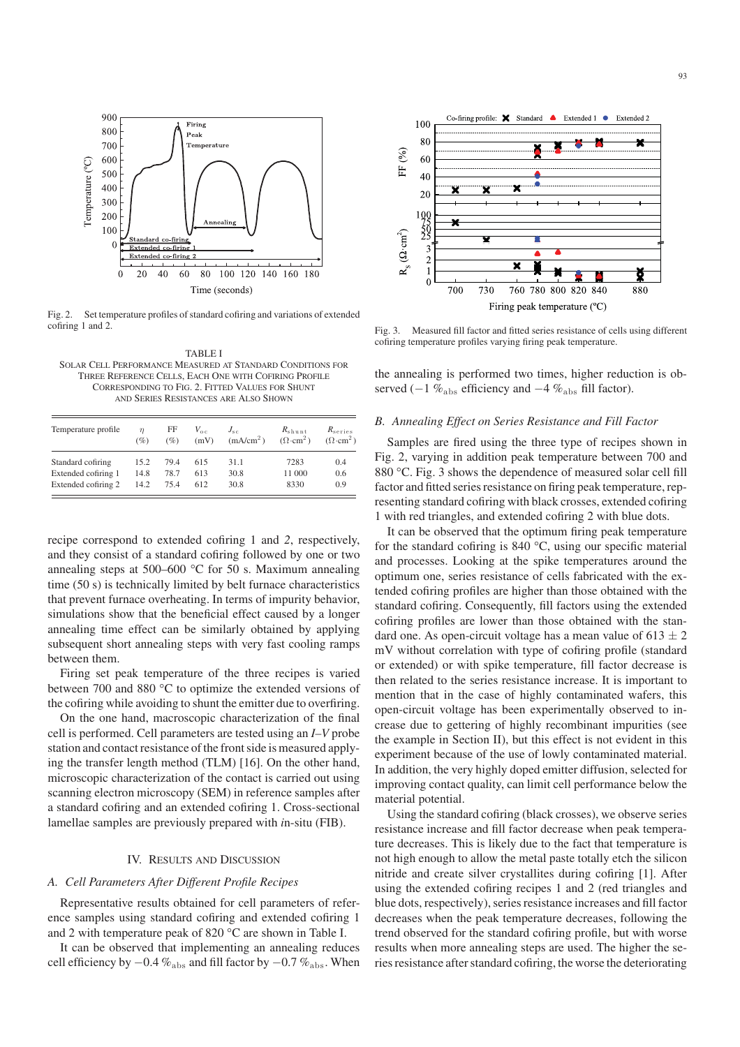

Fig. 2. Set temperature profiles of standard cofiring and variations of extended cofiring 1 and 2.

TABLE I SOLAR CELL PERFORMANCE MEASURED AT STANDARD CONDITIONS FOR THREE REFERENCE CELLS, EACH ONE WITH COFIRING PROFILE CORRESPONDING TO FIG. 2. FITTED VALUES FOR SHUNT AND SERIES RESISTANCES ARE ALSO SHOWN

| Temperature profile | $\eta$<br>(%) | FF<br>(%) | $V_{\alpha c}$<br>(mV) | $J_{sc}$<br>(mA/cm <sup>2</sup> ) | $R_{\rm shunt}$<br>$(\Omega \cdot \text{cm}^2)$ | $R_{\rm series}$<br>$(\Omega \cdot \text{cm}^2)$ |
|---------------------|---------------|-----------|------------------------|-----------------------------------|-------------------------------------------------|--------------------------------------------------|
| Standard cofiring   | 15.2          | 79.4      | 615                    | 31.1                              | 7283                                            | 0.4                                              |
| Extended cofiring 1 | 14.8          | 78.7      | 613                    | 30.8                              | 11 000                                          | 0.6                                              |
| Extended cofiring 2 | 14.2          | 75.4      | 612                    | 30.8                              | 8330                                            | 0.9                                              |

recipe correspond to extended cofiring 1 and *2*, respectively, and they consist of a standard cofiring followed by one or two annealing steps at 500–600 °C for 50 s. Maximum annealing time (50 s) is technically limited by belt furnace characteristics that prevent furnace overheating. In terms of impurity behavior, simulations show that the beneficial effect caused by a longer annealing time effect can be similarly obtained by applying subsequent short annealing steps with very fast cooling ramps between them.

Firing set peak temperature of the three recipes is varied between 700 and 880 °C to optimize the extended versions of the cofiring while avoiding to shunt the emitter due to overfiring.

On the one hand, macroscopic characterization of the final cell is performed. Cell parameters are tested using an *I–V* probe station and contact resistance of the front side is measured applying the transfer length method (TLM) [16]. On the other hand, microscopic characterization of the contact is carried out using scanning electron microscopy (SEM) in reference samples after a standard cofiring and an extended cofiring 1. Cross-sectional lamellae samples are previously prepared with *i*n-situ (FIB).

# IV. RESULTS AND DISCUSSION

## *A. Cell Parameters After Different Profile Recipes*

Representative results obtained for cell parameters of reference samples using standard cofiring and extended cofiring 1 and 2 with temperature peak of 820 °C are shown in Table I.

It can be observed that implementing an annealing reduces cell efficiency by  $-0.4\%_{\rm abs}$  and fill factor by  $-0.7\%_{\rm abs}$ . When



Fig. 3. Measured fill factor and fitted series resistance of cells using different cofiring temperature profiles varying firing peak temperature.

the annealing is performed two times, higher reduction is observed (−1  $\%_{\text{abs}}$  efficiency and −4  $\%_{\text{abs}}$  fill factor).

#### *B. Annealing Effect on Series Resistance and Fill Factor*

Samples are fired using the three type of recipes shown in Fig. 2, varying in addition peak temperature between 700 and 880 °C. Fig. 3 shows the dependence of measured solar cell fill factor and fitted series resistance on firing peak temperature, representing standard cofiring with black crosses, extended cofiring 1 with red triangles, and extended cofiring 2 with blue dots.

It can be observed that the optimum firing peak temperature for the standard cofiring is 840 °C, using our specific material and processes. Looking at the spike temperatures around the optimum one, series resistance of cells fabricated with the extended cofiring profiles are higher than those obtained with the standard cofiring. Consequently, fill factors using the extended cofiring profiles are lower than those obtained with the standard one. As open-circuit voltage has a mean value of  $613 \pm 2$ mV without correlation with type of cofiring profile (standard or extended) or with spike temperature, fill factor decrease is then related to the series resistance increase. It is important to mention that in the case of highly contaminated wafers, this open-circuit voltage has been experimentally observed to increase due to gettering of highly recombinant impurities (see the example in Section II), but this effect is not evident in this experiment because of the use of lowly contaminated material. In addition, the very highly doped emitter diffusion, selected for improving contact quality, can limit cell performance below the material potential.

Using the standard cofiring (black crosses), we observe series resistance increase and fill factor decrease when peak temperature decreases. This is likely due to the fact that temperature is not high enough to allow the metal paste totally etch the silicon nitride and create silver crystallites during cofiring [1]. After using the extended cofiring recipes 1 and 2 (red triangles and blue dots, respectively), series resistance increases and fill factor decreases when the peak temperature decreases, following the trend observed for the standard cofiring profile, but with worse results when more annealing steps are used. The higher the series resistance after standard cofiring, the worse the deteriorating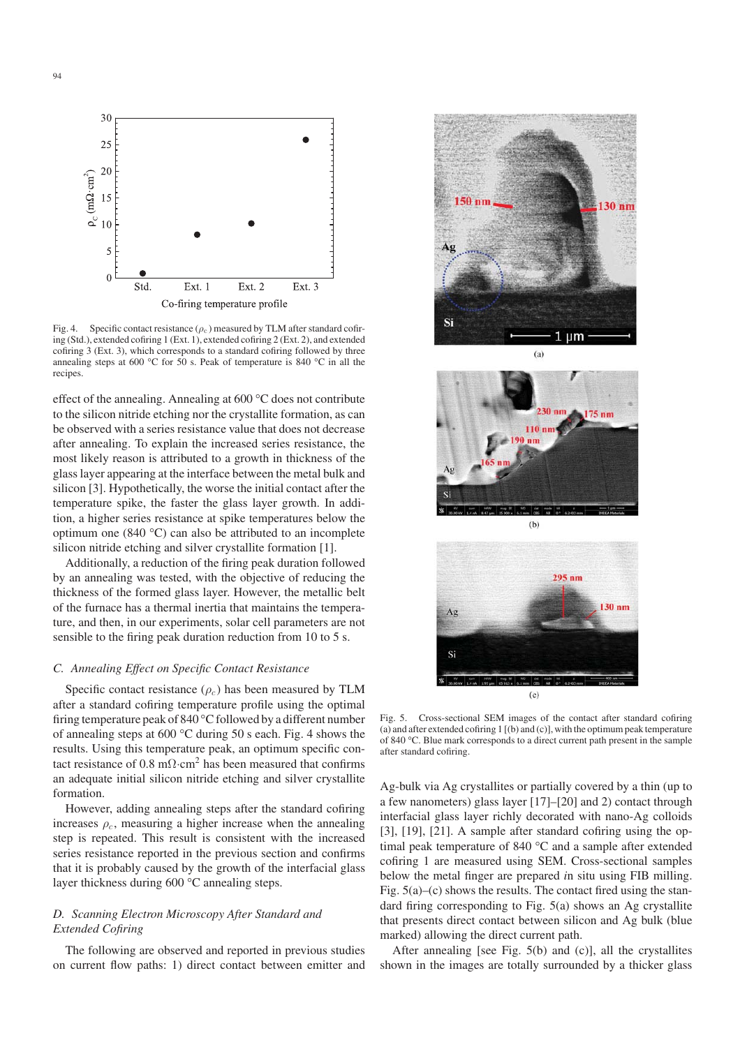

Fig. 4. Specific contact resistance  $(\rho_c)$  measured by TLM after standard cofiring (Std.), extended cofiring 1 (Ext. 1), extended cofiring 2 (Ext. 2), and extended cofiring 3 (Ext. 3), which corresponds to a standard cofiring followed by three annealing steps at 600 °C for 50 s. Peak of temperature is 840 °C in all the recipes.

effect of the annealing. Annealing at 600 °C does not contribute to the silicon nitride etching nor the crystallite formation, as can be observed with a series resistance value that does not decrease after annealing. To explain the increased series resistance, the most likely reason is attributed to a growth in thickness of the glass layer appearing at the interface between the metal bulk and silicon [3]. Hypothetically, the worse the initial contact after the temperature spike, the faster the glass layer growth. In addition, a higher series resistance at spike temperatures below the optimum one (840 °C) can also be attributed to an incomplete silicon nitride etching and silver crystallite formation [1].

Additionally, a reduction of the firing peak duration followed by an annealing was tested, with the objective of reducing the thickness of the formed glass layer. However, the metallic belt of the furnace has a thermal inertia that maintains the temperature, and then, in our experiments, solar cell parameters are not sensible to the firing peak duration reduction from 10 to 5 s.

#### *C. Annealing Effect on Specific Contact Resistance*

Specific contact resistance  $(\rho_c)$  has been measured by TLM after a standard cofiring temperature profile using the optimal firing temperature peak of 840 °C followed by a different number of annealing steps at 600 °C during 50 s each. Fig. 4 shows the results. Using this temperature peak, an optimum specific contact resistance of 0.8 m $\Omega$ ·cm<sup>2</sup> has been measured that confirms an adequate initial silicon nitride etching and silver crystallite formation.

However, adding annealing steps after the standard cofiring increases  $\rho_c$ , measuring a higher increase when the annealing step is repeated. This result is consistent with the increased series resistance reported in the previous section and confirms that it is probably caused by the growth of the interfacial glass layer thickness during 600 °C annealing steps.

# *D. Scanning Electron Microscopy After Standard and Extended Cofiring*

The following are observed and reported in previous studies on current flow paths: 1) direct contact between emitter and







Si  $(c)$ Fig. 5. Cross-sectional SEM images of the contact after standard cofiring (a) and after extended cofiring  $1 \mid (b)$  and  $(c)$ , with the optimum peak temperature of 840 °C. Blue mark corresponds to a direct current path present in the sample

 $295 \text{ nm}$ 

 $130$  nm

after standard cofiring.

 $A<sub>2</sub>$ 

Ag-bulk via Ag crystallites or partially covered by a thin (up to a few nanometers) glass layer [17]–[20] and 2) contact through interfacial glass layer richly decorated with nano-Ag colloids [3], [19], [21]. A sample after standard cofiring using the optimal peak temperature of 840 °C and a sample after extended cofiring 1 are measured using SEM. Cross-sectional samples below the metal finger are prepared *i*n situ using FIB milling. Fig.  $5(a)$ –(c) shows the results. The contact fired using the standard firing corresponding to Fig. 5(a) shows an Ag crystallite that presents direct contact between silicon and Ag bulk (blue marked) allowing the direct current path.

After annealing [see Fig. 5(b) and (c)], all the crystallites shown in the images are totally surrounded by a thicker glass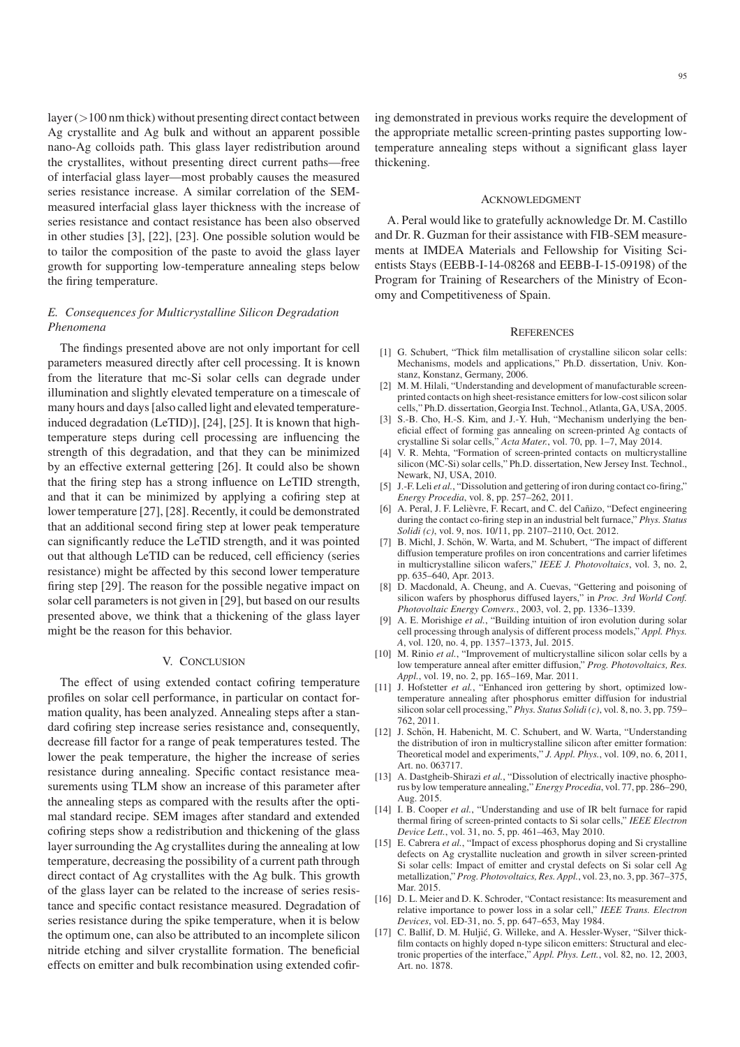$layer (>100$  nm thick) without presenting direct contact between Ag crystallite and Ag bulk and without an apparent possible nano-Ag colloids path. This glass layer redistribution around the crystallites, without presenting direct current paths—free of interfacial glass layer—most probably causes the measured series resistance increase. A similar correlation of the SEMmeasured interfacial glass layer thickness with the increase of series resistance and contact resistance has been also observed in other studies [3], [22], [23]. One possible solution would be to tailor the composition of the paste to avoid the glass layer growth for supporting low-temperature annealing steps below the firing temperature.

# *E. Consequences for Multicrystalline Silicon Degradation Phenomena*

The findings presented above are not only important for cell parameters measured directly after cell processing. It is known from the literature that mc-Si solar cells can degrade under illumination and slightly elevated temperature on a timescale of many hours and days [also called light and elevated temperatureinduced degradation (LeTID)], [24], [25]. It is known that hightemperature steps during cell processing are influencing the strength of this degradation, and that they can be minimized by an effective external gettering [26]. It could also be shown that the firing step has a strong influence on LeTID strength, and that it can be minimized by applying a cofiring step at lower temperature [27], [28]. Recently, it could be demonstrated that an additional second firing step at lower peak temperature can significantly reduce the LeTID strength, and it was pointed out that although LeTID can be reduced, cell efficiency (series resistance) might be affected by this second lower temperature firing step [29]. The reason for the possible negative impact on solar cell parameters is not given in [29], but based on our results presented above, we think that a thickening of the glass layer might be the reason for this behavior.

## V. CONCLUSION

The effect of using extended contact cofiring temperature profiles on solar cell performance, in particular on contact formation quality, has been analyzed. Annealing steps after a standard cofiring step increase series resistance and, consequently, decrease fill factor for a range of peak temperatures tested. The lower the peak temperature, the higher the increase of series resistance during annealing. Specific contact resistance measurements using TLM show an increase of this parameter after the annealing steps as compared with the results after the optimal standard recipe. SEM images after standard and extended cofiring steps show a redistribution and thickening of the glass layer surrounding the Ag crystallites during the annealing at low temperature, decreasing the possibility of a current path through direct contact of Ag crystallites with the Ag bulk. This growth of the glass layer can be related to the increase of series resistance and specific contact resistance measured. Degradation of series resistance during the spike temperature, when it is below the optimum one, can also be attributed to an incomplete silicon nitride etching and silver crystallite formation. The beneficial effects on emitter and bulk recombination using extended cofiring demonstrated in previous works require the development of the appropriate metallic screen-printing pastes supporting lowtemperature annealing steps without a significant glass layer thickening.

## ACKNOWLEDGMENT

A. Peral would like to gratefully acknowledge Dr. M. Castillo and Dr. R. Guzman for their assistance with FIB-SEM measurements at IMDEA Materials and Fellowship for Visiting Scientists Stays (EEBB-I-14-08268 and EEBB-I-15-09198) of the Program for Training of Researchers of the Ministry of Economy and Competitiveness of Spain.

## **REFERENCES**

- [1] G. Schubert, "Thick film metallisation of crystalline silicon solar cells: Mechanisms, models and applications," Ph.D. dissertation, Univ. Konstanz, Konstanz, Germany, 2006.
- [2] M. M. Hilali, "Understanding and development of manufacturable screenprinted contacts on high sheet-resistance emitters for low-cost silicon solar cells," Ph.D. dissertation, Georgia Inst. Technol., Atlanta, GA, USA, 2005.
- [3] S.-B. Cho, H.-S. Kim, and J.-Y. Huh, "Mechanism underlying the beneficial effect of forming gas annealing on screen-printed Ag contacts of crystalline Si solar cells," *Acta Mater.*, vol. 70, pp. 1–7, May 2014.
- [4] V. R. Mehta, "Formation of screen-printed contacts on multicrystalline silicon (MC-Si) solar cells," Ph.D. dissertation, New Jersey Inst. Technol., Newark, NJ, USA, 2010.
- [5] J.-F. Leli *et al.*, "Dissolution and gettering of iron during contact co-firing," *Energy Procedia*, vol. 8, pp. 257–262, 2011.
- [6] A. Peral, J. F. Lelièvre, F. Recart, and C. del Cañizo, "Defect engineering during the contact co-firing step in an industrial belt furnace," *Phys. Status Solidi (c)*, vol. 9, nos. 10/11, pp. 2107–2110, Oct. 2012.
- [7] B. Michl, J. Schön, W. Warta, and M. Schubert, "The impact of different diffusion temperature profiles on iron concentrations and carrier lifetimes in multicrystalline silicon wafers," *IEEE J. Photovoltaics*, vol. 3, no. 2, pp. 635–640, Apr. 2013.
- [8] D. Macdonald, A. Cheung, and A. Cuevas, "Gettering and poisoning of silicon wafers by phosphorus diffused layers," in *Proc. 3rd World Conf. Photovoltaic Energy Convers.*, 2003, vol. 2, pp. 1336–1339.
- [9] A. E. Morishige *et al.*, "Building intuition of iron evolution during solar cell processing through analysis of different process models," *Appl. Phys. A*, vol. 120, no. 4, pp. 1357–1373, Jul. 2015.
- [10] M. Rinio *et al.*, "Improvement of multicrystalline silicon solar cells by a low temperature anneal after emitter diffusion," *Prog. Photovoltaics, Res. Appl.*, vol. 19, no. 2, pp. 165–169, Mar. 2011.
- [11] J. Hofstetter *et al.*, "Enhanced iron gettering by short, optimized lowtemperature annealing after phosphorus emitter diffusion for industrial silicon solar cell processing," *Phys. Status Solidi (c)*, vol. 8, no. 3, pp. 759– 762, 2011.
- [12] J. Schön, H. Habenicht, M. C. Schubert, and W. Warta, "Understanding the distribution of iron in multicrystalline silicon after emitter formation: Theoretical model and experiments," *J. Appl. Phys.*, vol. 109, no. 6, 2011, Art. no. 063717.
- [13] A. Dastgheib-Shirazi et al., "Dissolution of electrically inactive phosphorus by low temperature annealing," *Energy Procedia*, vol. 77, pp. 286–290, Aug. 2015.
- [14] I. B. Cooper *et al.*, "Understanding and use of IR belt furnace for rapid thermal firing of screen-printed contacts to Si solar cells," *IEEE Electron Device Lett.*, vol. 31, no. 5, pp. 461–463, May 2010.
- [15] E. Cabrera *et al.*, "Impact of excess phosphorus doping and Si crystalline defects on Ag crystallite nucleation and growth in silver screen-printed Si solar cells: Impact of emitter and crystal defects on Si solar cell Ag metallization," *Prog. Photovoltaics, Res. Appl.*, vol. 23, no. 3, pp. 367–375, Mar. 2015.
- [16] D. L. Meier and D. K. Schroder, "Contact resistance: Its measurement and relative importance to power loss in a solar cell," *IEEE Trans. Electron Devices*, vol. ED-31, no. 5, pp. 647–653, May 1984.
- [17] C. Ballif, D. M. Huljić, G. Willeke, and A. Hessler-Wyser, "Silver thickfilm contacts on highly doped n-type silicon emitters: Structural and electronic properties of the interface," *Appl. Phys. Lett.*, vol. 82, no. 12, 2003, Art. no. 1878.